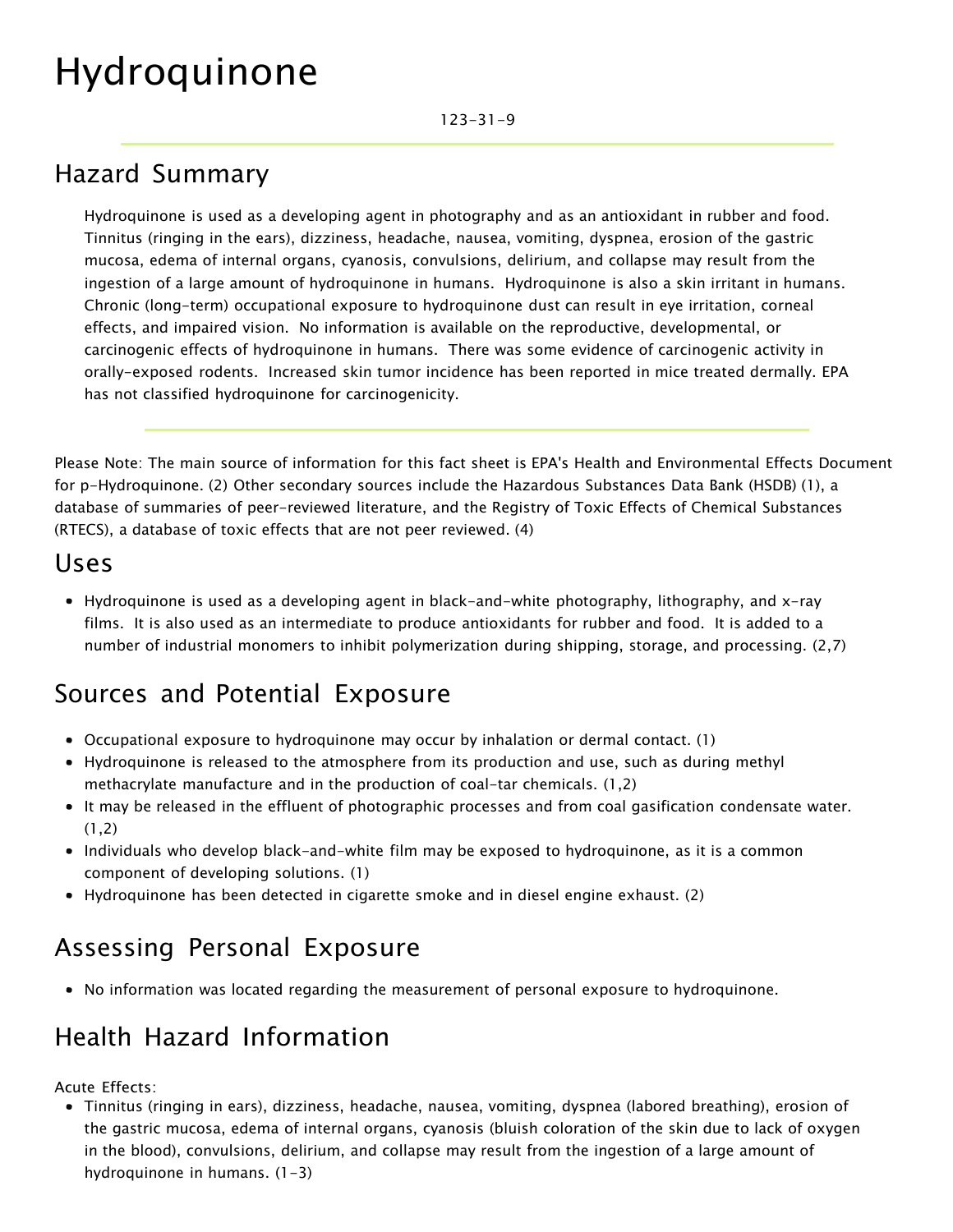# Hydroquinone

#### Hazard Summary

Hydroquinone is used as a developing agent in photography and as an antioxidant in rubber and food. Tinnitus (ringing in the ears), dizziness, headache, nausea, vomiting, dyspnea, erosion of the gastric mucosa, edema of internal organs, cyanosis, convulsions, delirium, and collapse may result from the ingestion of a large amount of hydroquinone in humans. Hydroquinone is also a skin irritant in humans. Chronic (long-term) occupational exposure to hydroquinone dust can result in eye irritation, corneal effects, and impaired vision. No information is available on the reproductive, developmental, or carcinogenic effects of hydroquinone in humans. There was some evidence of carcinogenic activity in orally-exposed rodents. Increased skin tumor incidence has been reported in mice treated dermally. EPA has not classified hydroquinone for carcinogenicity.

Please Note: The main source of information for this fact sheet is EPA's Health and Environmental Effects Document for p-Hydroquinone. (2) Other secondary sources include the Hazardous Substances Data Bank (HSDB) (1), a database of summaries of peer-reviewed literature, and the Registry of Toxic Effects of Chemical Substances (RTECS), a database of toxic effects that are not peer reviewed. (4)

#### Uses

Hydroquinone is used as a developing agent in black-and-white photography, lithography, and x-ray films. It is also used as an intermediate to produce antioxidants for rubber and food. It is added to a number of industrial monomers to inhibit polymerization during shipping, storage, and processing. (2,7)

# Sources and Potential Exposure

- Occupational exposure to hydroquinone may occur by inhalation or dermal contact. (1)
- Hydroquinone is released to the atmosphere from its production and use, such as during methyl methacrylate manufacture and in the production of coal-tar chemicals. (1,2)
- It may be released in the effluent of photographic processes and from coal gasification condensate water.  $(1,2)$
- Individuals who develop black-and-white film may be exposed to hydroquinone, as it is a common component of developing solutions. (1)
- Hydroquinone has been detected in cigarette smoke and in diesel engine exhaust. (2)

## Assessing Personal Exposure

No information was located regarding the measurement of personal exposure to hydroquinone.

### Health Hazard Information

Acute Effects:

Tinnitus (ringing in ears), dizziness, headache, nausea, vomiting, dyspnea (labored breathing), erosion of the gastric mucosa, edema of internal organs, cyanosis (bluish coloration of the skin due to lack of oxygen in the blood), convulsions, delirium, and collapse may result from the ingestion of a large amount of hydroquinone in humans. (1-3)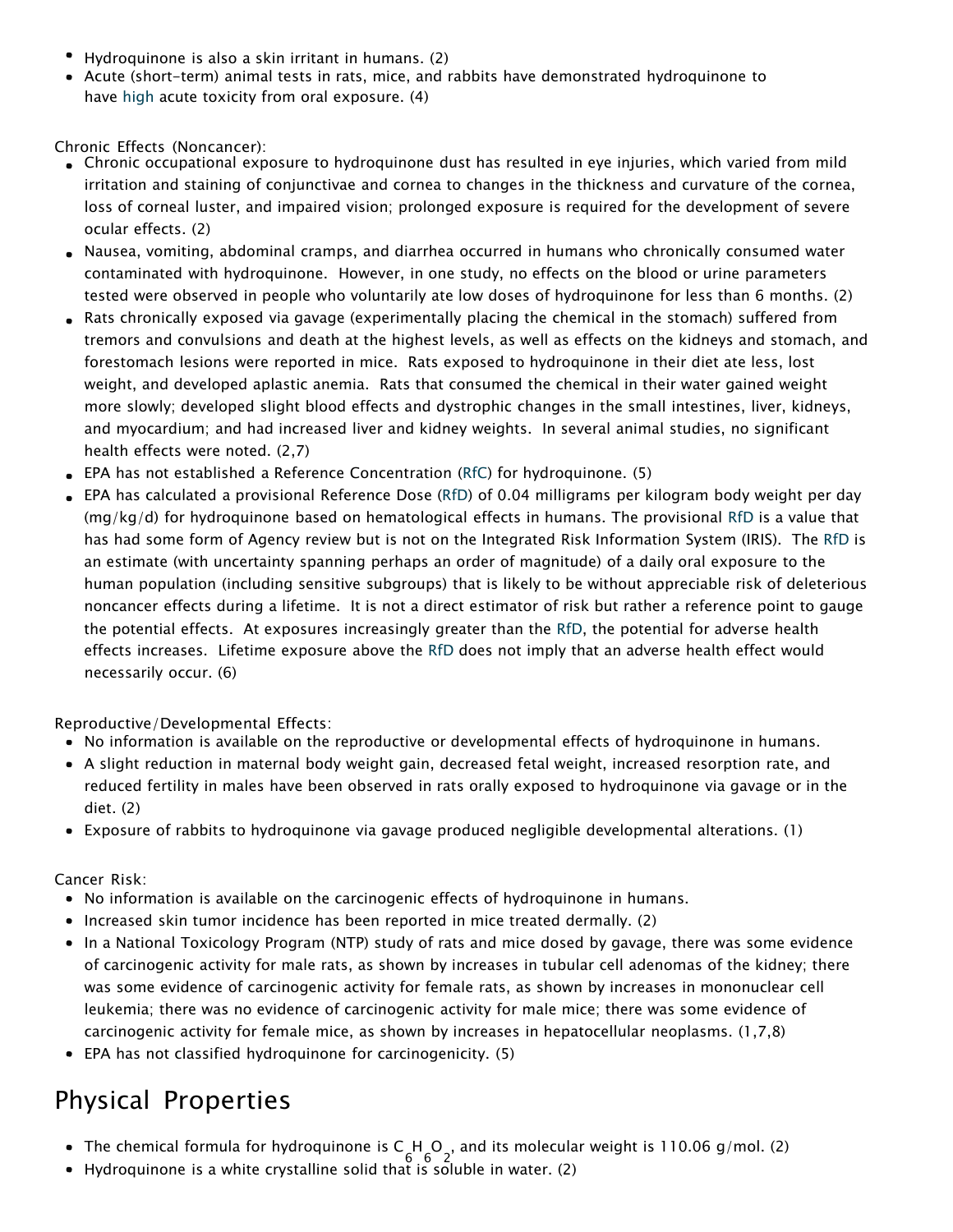- Hydroquinone is also a skin irritant in humans. (2)
- Acute (short-term) animal tests in rats, mice, and rabbits have demonstrated hydroquinone to hav[e high](ttps://www.epa.gov/haps/about-health-effects-fact-sheets) acute toxicity from oral exposure. (4)

Chronic Effects (Noncancer):

- Chronic occupational exposure to hydroquinone dust has resulted in eye injuries, which varied from mild irritation and staining of conjunctivae and cornea to changes in the thickness and curvature of the cornea, loss of corneal luster, and impaired vision; prolonged exposure is required for the development of severe ocular effects. (2)
- Nausea, vomiting, abdominal cramps, and diarrhea occurred in humans who chronically consumed water contaminated with hydroquinone. However, in one study, no effects on the blood or urine parameters tested were observed in people who voluntarily ate low doses of hydroquinone for less than 6 months. (2)
- Rats chronically exposed via gavage (experimentally placing the chemical in the stomach) suffered from tremors and convulsions and death at the highest levels, as well as effects on the kidneys and stomach, and forestomach lesions were reported in mice. Rats exposed to hydroquinone in their diet ate less, lost weight, and developed aplastic anemia. Rats that consumed the chemical in their water gained weight more slowly; developed slight blood effects and dystrophic changes in the small intestines, liver, kidneys, and myocardium; and had increased liver and kidney weights. In several animal studies, no significant health effects were noted. (2,7)
- EPA has not established a Reference Concentration [\(RfC\)](https://www.epa.gov/haps/health-effects-notebook-glossary) for hydroquinone. (5)
- EPA has calculated a provisional Reference Dose [\(RfD\)](https://www.epa.gov/haps/health-effects-notebook-glossary) of 0.04 milligrams per kilogram body weight per day (mg/kg/d) for hydroquinone based on hematological effects in humans. The provisional [RfD](https://www.epa.gov/haps/health-effects-notebook-glossary) is a value that has had some form of Agency review but is not on the Integrated Risk Information System (IRIS). The [RfD](https://www.epa.gov/haps/health-effects-notebook-glossary) is an estimate (with uncertainty spanning perhaps an order of magnitude) of a daily oral exposure to the human population (including sensitive subgroups) that is likely to be without appreciable risk of deleterious noncancer effects during a lifetime. It is not a direct estimator of risk but rather a reference point to gauge the potential effects. At exposures increasingly greater than the [RfD,](https://www.epa.gov/haps/health-effects-notebook-glossary) the potential for adverse health effects increases. Lifetime exposure above the [RfD](https://www.epa.gov/haps/health-effects-notebook-glossary) does not imply that an adverse health effect would necessarily occur. (6)

Reproductive/Developmental Effects:

- No information is available on the reproductive or developmental effects of hydroquinone in humans.
- A slight reduction in maternal body weight gain, decreased fetal weight, increased resorption rate, and reduced fertility in males have been observed in rats orally exposed to hydroquinone via gavage or in the diet. (2)
- Exposure of rabbits to hydroquinone via gavage produced negligible developmental alterations. (1)

Cancer Risk:

- No information is available on the carcinogenic effects of hydroquinone in humans.
- Increased skin tumor incidence has been reported in mice treated dermally. (2)
- In a National Toxicology Program (NTP) study of rats and mice dosed by gavage, there was some evidence of carcinogenic activity for male rats, as shown by increases in tubular cell adenomas of the kidney; there was some evidence of carcinogenic activity for female rats, as shown by increases in mononuclear cell leukemia; there was no evidence of carcinogenic activity for male mice; there was some evidence of carcinogenic activity for female mice, as shown by increases in hepatocellular neoplasms. (1,7,8)
- EPA has not classified hydroquinone for carcinogenicity. (5)

# Physical Properties

- The chemical formula for hydroquinone is  $C H O<sub>2</sub>$ , and its molecular weight is 110.06 g/mol. (2)
- Hydroquinone is a white crystalline solid that is soluble in water. (2)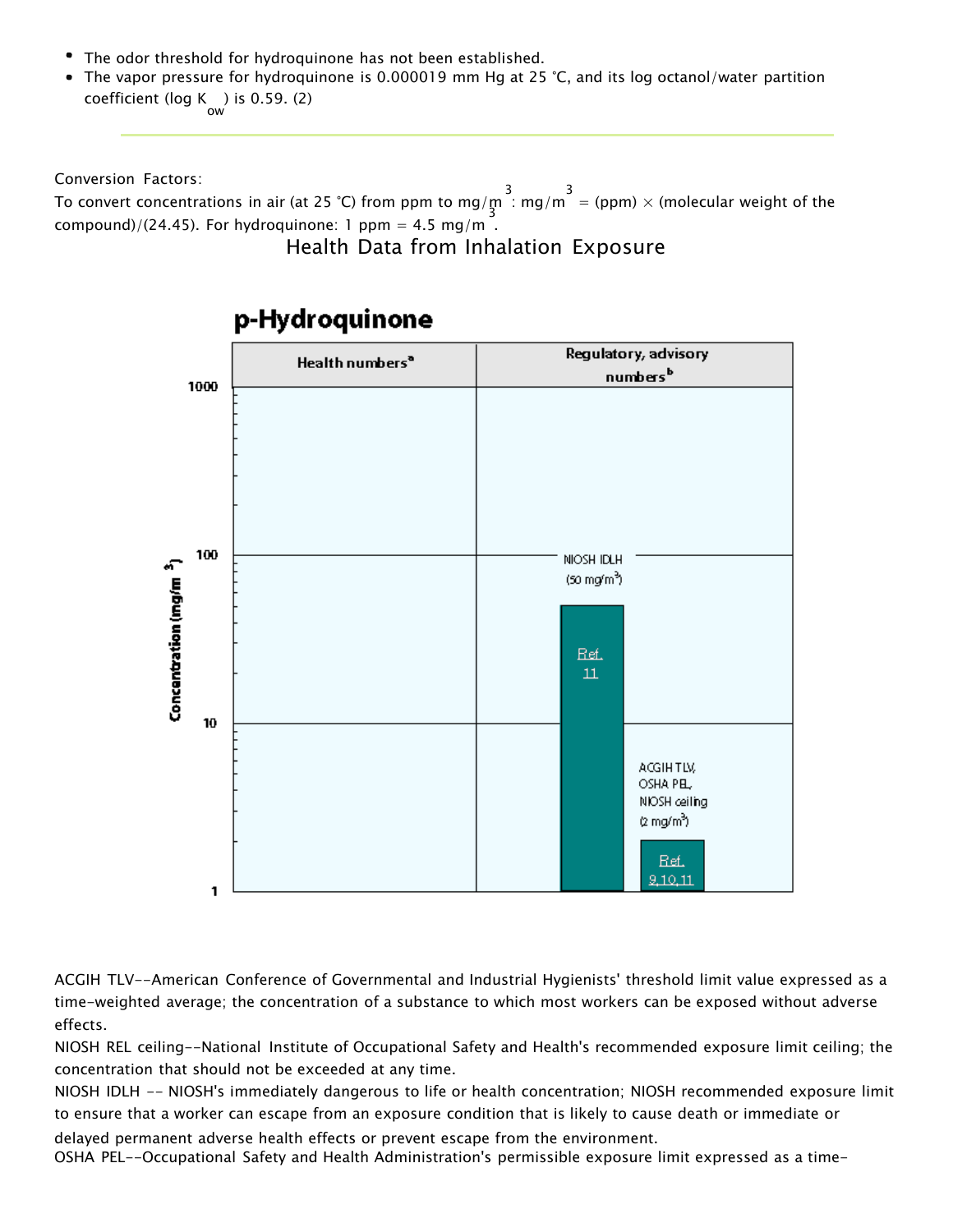- The odor threshold for hydroquinone has not been established.
- The vapor pressure for hydroquinone is 0.000019 mm Hg at 25 °C, and its log octanol/water partition coefficient ( $log K$ ) is 0.59. (2)

Conversion Factors:

To convert concentrations in air (at 25 °C) from ppm to mg/m  $\frac{3}{3}$  : mg/m  $\frac{3}{4}$  (ppm)  $\times$  (molecular weight of the compound)/(24.45). For hydroquinone: 1 ppm = 4.5 mg/m<sup>-</sup>.

#### Health Data from Inhalation Exposure



#### p-Hydroquinone

ACGIH TLV--American Conference of Governmental and Industrial Hygienists' threshold limit value expressed as a time-weighted average; the concentration of a substance to which most workers can be exposed without adverse effects.

NIOSH REL ceiling--National Institute of Occupational Safety and Health's recommended exposure limit ceiling; the concentration that should not be exceeded at any time.

NIOSH IDLH -- NIOSH's immediately dangerous to life or health concentration; NIOSH recommended exposure limit to ensure that a worker can escape from an exposure condition that is likely to cause death or immediate or

delayed permanent adverse health effects or prevent escape from the environment. OSHA PEL--Occupational Safety and Health Administration's permissible exposure limit expressed as a time